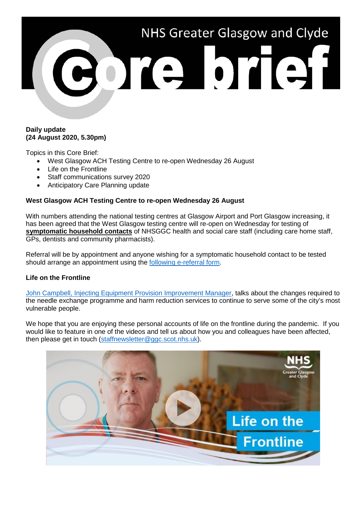

## **Daily update (24 August 2020, 5.30pm)**

Topics in this Core Brief:

- West Glasgow ACH Testing Centre to re-open Wednesday 26 August
- Life on the Frontline
- Staff communications survey 2020
- Anticipatory Care Planning update

## **West Glasgow ACH Testing Centre to re-open Wednesday 26 August**

With numbers attending the national testing centres at Glasgow Airport and Port Glasgow increasing, it has been agreed that the West Glasgow testing centre will re-open on Wednesday for testing of **symptomatic household contacts** of NHSGGC health and social care staff (including care home staff, GPs, dentists and community pharmacists).

Referral will be by appointment and anyone wishing for a symptomatic household contact to be tested should arrange an appointment using the [following e-referral form.](https://forms.office.com/Pages/ResponsePage.aspx?id=veDvEDCgykuAnLXmdF5JmgW9YoY5w-BDlHK7ghonYUBURTJBTFE0UEFBN0I2ODU3S0lFNTJJUjYzTiQlQCN0PWcu)

# **Life on the Frontline**

[John Campbell, Injecting Equipment](https://www.youtube.com/watch?v=ccopwcrjGk8) Provision Improvement Manager, talks about the changes required to the needle exchange programme and harm reduction services to continue to serve some of the city's most vulnerable people.

We hope that you are enjoying these personal accounts of life on the frontline during the pandemic. If you would like to feature in one of the videos and tell us about how you and colleagues have been affected, then please get in touch [\(staffnewsletter@ggc.scot.nhs.uk\)](mailto:staffnewsletter@ggc.scot.nhs.uk).